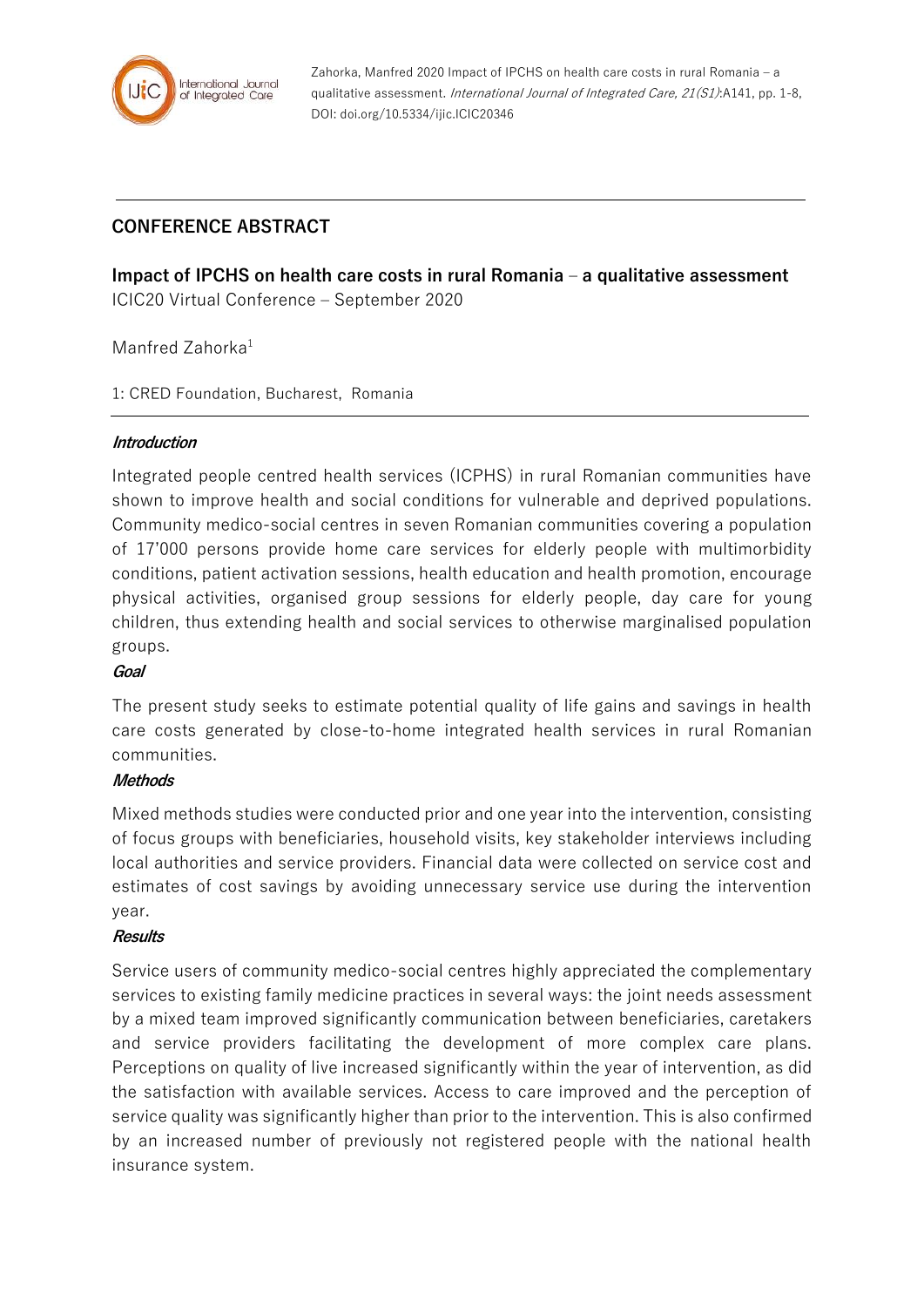

Zahorka, Manfred 2020 Impact of IPCHS on health care costs in rural Romania – a qualitative assessment. International Journal of Integrated Care, 21(S1):A141, pp. 1-8, DOI: doi.org/10.5334/ijic.ICIC20346

# **CONFERENCE ABSTRACT**

**Impact of IPCHS on health care costs in rural Romania – a qualitative assessment** ICIC20 Virtual Conference – September 2020

## Manfred Zahorka<sup>1</sup>

1: CRED Foundation, Bucharest, Romania

### **Introduction**

Integrated people centred health services (ICPHS) in rural Romanian communities have shown to improve health and social conditions for vulnerable and deprived populations. Community medico-social centres in seven Romanian communities covering a population of 17'000 persons provide home care services for elderly people with multimorbidity conditions, patient activation sessions, health education and health promotion, encourage physical activities, organised group sessions for elderly people, day care for young children, thus extending health and social services to otherwise marginalised population groups.

### **Goal**

The present study seeks to estimate potential quality of life gains and savings in health care costs generated by close-to-home integrated health services in rural Romanian communities.

### **Methods**

Mixed methods studies were conducted prior and one year into the intervention, consisting of focus groups with beneficiaries, household visits, key stakeholder interviews including local authorities and service providers. Financial data were collected on service cost and estimates of cost savings by avoiding unnecessary service use during the intervention year.

#### **Results**

Service users of community medico-social centres highly appreciated the complementary services to existing family medicine practices in several ways: the joint needs assessment by a mixed team improved significantly communication between beneficiaries, caretakers and service providers facilitating the development of more complex care plans. Perceptions on quality of live increased significantly within the year of intervention, as did the satisfaction with available services. Access to care improved and the perception of service quality was significantly higher than prior to the intervention. This is also confirmed by an increased number of previously not registered people with the national health insurance system.